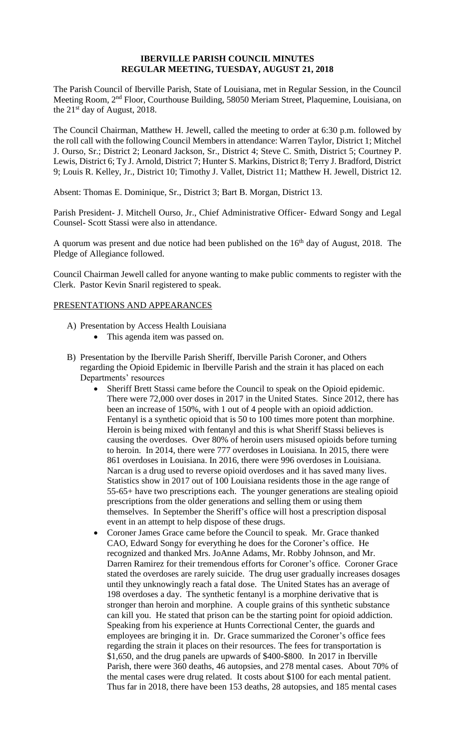#### **IBERVILLE PARISH COUNCIL MINUTES REGULAR MEETING, TUESDAY, AUGUST 21, 2018**

The Parish Council of Iberville Parish, State of Louisiana, met in Regular Session, in the Council Meeting Room, 2nd Floor, Courthouse Building, 58050 Meriam Street, Plaquemine, Louisiana, on the 21st day of August, 2018.

The Council Chairman, Matthew H. Jewell, called the meeting to order at 6:30 p.m. followed by the roll call with the following Council Members in attendance: Warren Taylor, District 1; Mitchel J. Ourso, Sr.; District 2; Leonard Jackson, Sr., District 4; Steve C. Smith, District 5; Courtney P. Lewis, District 6; Ty J. Arnold, District 7; Hunter S. Markins, District 8; Terry J. Bradford, District 9; Louis R. Kelley, Jr., District 10; Timothy J. Vallet, District 11; Matthew H. Jewell, District 12.

Absent: Thomas E. Dominique, Sr., District 3; Bart B. Morgan, District 13.

Parish President- J. Mitchell Ourso, Jr., Chief Administrative Officer- Edward Songy and Legal Counsel- Scott Stassi were also in attendance.

A quorum was present and due notice had been published on the  $16<sup>th</sup>$  day of August, 2018. The Pledge of Allegiance followed.

Council Chairman Jewell called for anyone wanting to make public comments to register with the Clerk. Pastor Kevin Snaril registered to speak.

# PRESENTATIONS AND APPEARANCES

- A) Presentation by Access Health Louisiana
	- This agenda item was passed on.
- B) Presentation by the Iberville Parish Sheriff, Iberville Parish Coroner, and Others regarding the Opioid Epidemic in Iberville Parish and the strain it has placed on each Departments' resources
	- Sheriff Brett Stassi came before the Council to speak on the Opioid epidemic. There were 72,000 over doses in 2017 in the United States. Since 2012, there has been an increase of 150%, with 1 out of 4 people with an opioid addiction. Fentanyl is a synthetic opioid that is 50 to 100 times more potent than morphine. Heroin is being mixed with fentanyl and this is what Sheriff Stassi believes is causing the overdoses. Over 80% of heroin users misused opioids before turning to heroin. In 2014, there were 777 overdoses in Louisiana. In 2015, there were 861 overdoses in Louisiana. In 2016, there were 996 overdoses in Louisiana. Narcan is a drug used to reverse opioid overdoses and it has saved many lives. Statistics show in 2017 out of 100 Louisiana residents those in the age range of 55-65+ have two prescriptions each. The younger generations are stealing opioid prescriptions from the older generations and selling them or using them themselves. In September the Sheriff's office will host a prescription disposal event in an attempt to help dispose of these drugs.
	- Coroner James Grace came before the Council to speak. Mr. Grace thanked CAO, Edward Songy for everything he does for the Coroner's office. He recognized and thanked Mrs. JoAnne Adams, Mr. Robby Johnson, and Mr. Darren Ramirez for their tremendous efforts for Coroner's office. Coroner Grace stated the overdoses are rarely suicide. The drug user gradually increases dosages until they unknowingly reach a fatal dose. The United States has an average of 198 overdoses a day. The synthetic fentanyl is a morphine derivative that is stronger than heroin and morphine. A couple grains of this synthetic substance can kill you. He stated that prison can be the starting point for opioid addiction. Speaking from his experience at Hunts Correctional Center, the guards and employees are bringing it in. Dr. Grace summarized the Coroner's office fees regarding the strain it places on their resources. The fees for transportation is \$1,650, and the drug panels are upwards of \$400-\$800. In 2017 in Iberville Parish, there were 360 deaths, 46 autopsies, and 278 mental cases. About 70% of the mental cases were drug related. It costs about \$100 for each mental patient. Thus far in 2018, there have been 153 deaths, 28 autopsies, and 185 mental cases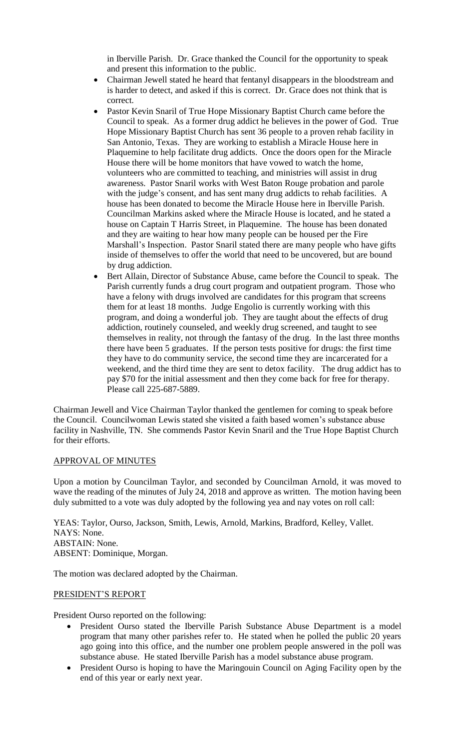in Iberville Parish. Dr. Grace thanked the Council for the opportunity to speak and present this information to the public.

- Chairman Jewell stated he heard that fentanyl disappears in the bloodstream and is harder to detect, and asked if this is correct. Dr. Grace does not think that is correct.
- Pastor Kevin Snaril of True Hope Missionary Baptist Church came before the Council to speak. As a former drug addict he believes in the power of God. True Hope Missionary Baptist Church has sent 36 people to a proven rehab facility in San Antonio, Texas. They are working to establish a Miracle House here in Plaquemine to help facilitate drug addicts. Once the doors open for the Miracle House there will be home monitors that have vowed to watch the home, volunteers who are committed to teaching, and ministries will assist in drug awareness. Pastor Snaril works with West Baton Rouge probation and parole with the judge's consent, and has sent many drug addicts to rehab facilities. A house has been donated to become the Miracle House here in Iberville Parish. Councilman Markins asked where the Miracle House is located, and he stated a house on Captain T Harris Street, in Plaquemine. The house has been donated and they are waiting to hear how many people can be housed per the Fire Marshall's Inspection. Pastor Snaril stated there are many people who have gifts inside of themselves to offer the world that need to be uncovered, but are bound by drug addiction.
- Bert Allain, Director of Substance Abuse, came before the Council to speak. The Parish currently funds a drug court program and outpatient program. Those who have a felony with drugs involved are candidates for this program that screens them for at least 18 months. Judge Engolio is currently working with this program, and doing a wonderful job. They are taught about the effects of drug addiction, routinely counseled, and weekly drug screened, and taught to see themselves in reality, not through the fantasy of the drug. In the last three months there have been 5 graduates. If the person tests positive for drugs: the first time they have to do community service, the second time they are incarcerated for a weekend, and the third time they are sent to detox facility. The drug addict has to pay \$70 for the initial assessment and then they come back for free for therapy. Please call 225-687-5889.

Chairman Jewell and Vice Chairman Taylor thanked the gentlemen for coming to speak before the Council. Councilwoman Lewis stated she visited a faith based women's substance abuse facility in Nashville, TN. She commends Pastor Kevin Snaril and the True Hope Baptist Church for their efforts.

# APPROVAL OF MINUTES

Upon a motion by Councilman Taylor, and seconded by Councilman Arnold, it was moved to wave the reading of the minutes of July 24, 2018 and approve as written. The motion having been duly submitted to a vote was duly adopted by the following yea and nay votes on roll call:

YEAS: Taylor, Ourso, Jackson, Smith, Lewis, Arnold, Markins, Bradford, Kelley, Vallet. NAYS: None. ABSTAIN: None. ABSENT: Dominique, Morgan.

The motion was declared adopted by the Chairman.

# PRESIDENT'S REPORT

President Ourso reported on the following:

- President Ourso stated the Iberville Parish Substance Abuse Department is a model program that many other parishes refer to. He stated when he polled the public 20 years ago going into this office, and the number one problem people answered in the poll was substance abuse. He stated Iberville Parish has a model substance abuse program.
- President Ourso is hoping to have the Maringouin Council on Aging Facility open by the end of this year or early next year.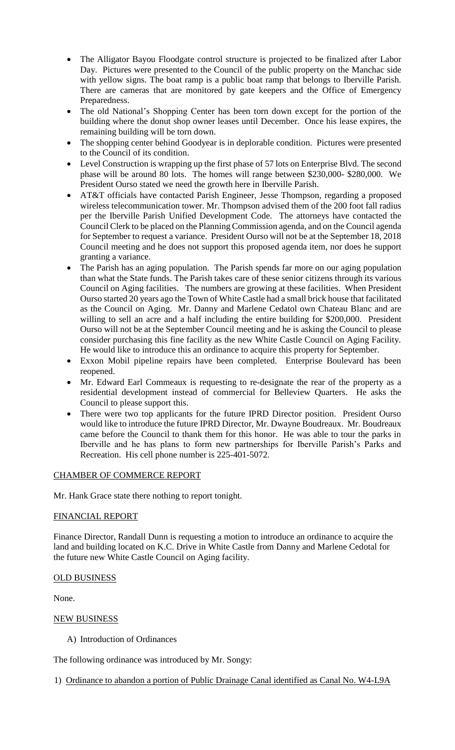- The Alligator Bayou Floodgate control structure is projected to be finalized after Labor Day. Pictures were presented to the Council of the public property on the Manchac side with yellow signs. The boat ramp is a public boat ramp that belongs to Iberville Parish. There are cameras that are monitored by gate keepers and the Office of Emergency Preparedness.
- The old National's Shopping Center has been torn down except for the portion of the building where the donut shop owner leases until December. Once his lease expires, the remaining building will be torn down.
- The shopping center behind Goodyear is in deplorable condition. Pictures were presented to the Council of its condition.
- Level Construction is wrapping up the first phase of 57 lots on Enterprise Blvd. The second phase will be around 80 lots. The homes will range between \$230,000- \$280,000. We President Ourso stated we need the growth here in Iberville Parish.
- AT&T officials have contacted Parish Engineer, Jesse Thompson, regarding a proposed wireless telecommunication tower. Mr. Thompson advised them of the 200 foot fall radius per the Iberville Parish Unified Development Code. The attorneys have contacted the Council Clerk to be placed on the Planning Commission agenda, and on the Council agenda for September to request a variance. President Ourso will not be at the September 18, 2018 Council meeting and he does not support this proposed agenda item, nor does he support granting a variance.
- The Parish has an aging population. The Parish spends far more on our aging population than what the State funds. The Parish takes care of these senior citizens through its various Council on Aging facilities. The numbers are growing at these facilities. When President Ourso started 20 years ago the Town of White Castle had a small brick house that facilitated as the Council on Aging. Mr. Danny and Marlene Cedatol own Chateau Blanc and are willing to sell an acre and a half including the entire building for \$200,000. President Ourso will not be at the September Council meeting and he is asking the Council to please consider purchasing this fine facility as the new White Castle Council on Aging Facility. He would like to introduce this an ordinance to acquire this property for September.
- Exxon Mobil pipeline repairs have been completed. Enterprise Boulevard has been reopened.
- Mr. Edward Earl Commeaux is requesting to re-designate the rear of the property as a residential development instead of commercial for Belleview Quarters. He asks the Council to please support this.
- There were two top applicants for the future IPRD Director position. President Ourso would like to introduce the future IPRD Director, Mr. Dwayne Boudreaux. Mr. Boudreaux came before the Council to thank them for this honor. He was able to tour the parks in Iberville and he has plans to form new partnerships for Iberville Parish's Parks and Recreation. His cell phone number is 225-401-5072.

# CHAMBER OF COMMERCE REPORT

Mr. Hank Grace state there nothing to report tonight.

# FINANCIAL REPORT

Finance Director, Randall Dunn is requesting a motion to introduce an ordinance to acquire the land and building located on K.C. Drive in White Castle from Danny and Marlene Cedotal for the future new White Castle Council on Aging facility.

# OLD BUSINESS

None.

# NEW BUSINESS

A) Introduction of Ordinances

The following ordinance was introduced by Mr. Songy:

1) Ordinance to abandon a portion of Public Drainage Canal identified as Canal No. W4-L9A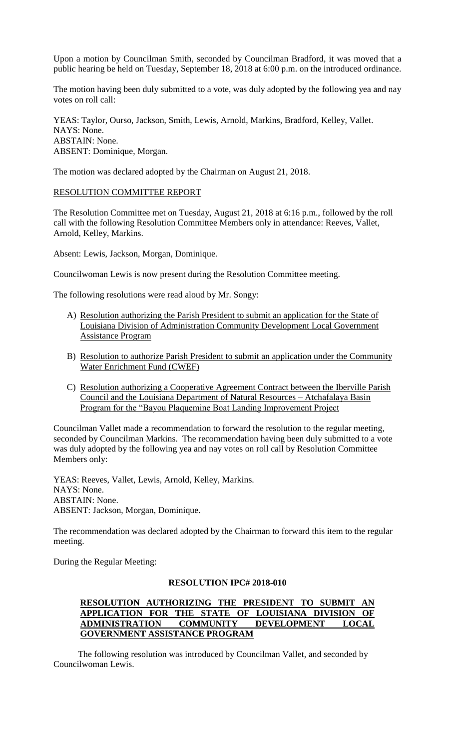Upon a motion by Councilman Smith, seconded by Councilman Bradford, it was moved that a public hearing be held on Tuesday, September 18, 2018 at 6:00 p.m. on the introduced ordinance.

The motion having been duly submitted to a vote, was duly adopted by the following yea and nay votes on roll call:

YEAS: Taylor, Ourso, Jackson, Smith, Lewis, Arnold, Markins, Bradford, Kelley, Vallet. NAYS: None. ABSTAIN: None. ABSENT: Dominique, Morgan.

The motion was declared adopted by the Chairman on August 21, 2018.

#### RESOLUTION COMMITTEE REPORT

The Resolution Committee met on Tuesday, August 21, 2018 at 6:16 p.m., followed by the roll call with the following Resolution Committee Members only in attendance: Reeves, Vallet, Arnold, Kelley, Markins.

Absent: Lewis, Jackson, Morgan, Dominique.

Councilwoman Lewis is now present during the Resolution Committee meeting.

The following resolutions were read aloud by Mr. Songy:

- A) Resolution authorizing the Parish President to submit an application for the State of Louisiana Division of Administration Community Development Local Government Assistance Program
- B) Resolution to authorize Parish President to submit an application under the Community Water Enrichment Fund (CWEF)
- C) Resolution authorizing a Cooperative Agreement Contract between the Iberville Parish Council and the Louisiana Department of Natural Resources – Atchafalaya Basin Program for the "Bayou Plaquemine Boat Landing Improvement Project

Councilman Vallet made a recommendation to forward the resolution to the regular meeting, seconded by Councilman Markins. The recommendation having been duly submitted to a vote was duly adopted by the following yea and nay votes on roll call by Resolution Committee Members only:

YEAS: Reeves, Vallet, Lewis, Arnold, Kelley, Markins. NAYS: None. ABSTAIN: None. ABSENT: Jackson, Morgan, Dominique.

The recommendation was declared adopted by the Chairman to forward this item to the regular meeting.

During the Regular Meeting:

# **RESOLUTION IPC# 2018-010**

# **RESOLUTION AUTHORIZING THE PRESIDENT TO SUBMIT AN APPLICATION FOR THE STATE OF LOUISIANA DIVISION OF ADMINISTRATION COMMUNITY DEVELOPMENT LOCAL GOVERNMENT ASSISTANCE PROGRAM**

 The following resolution was introduced by Councilman Vallet, and seconded by Councilwoman Lewis.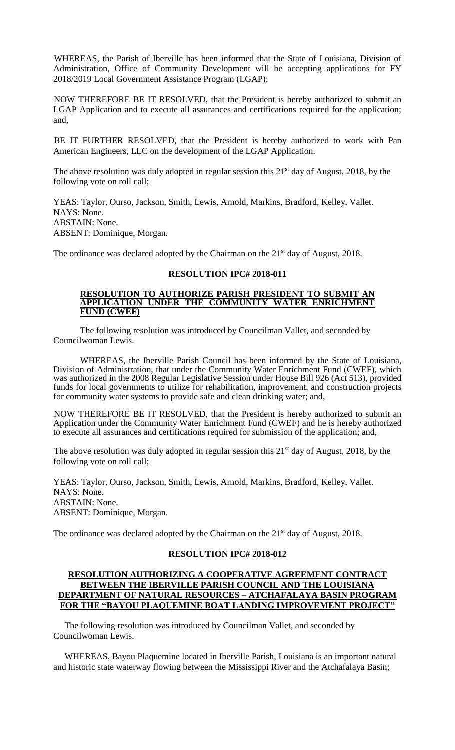WHEREAS, the Parish of Iberville has been informed that the State of Louisiana, Division of Administration, Office of Community Development will be accepting applications for FY 2018/2019 Local Government Assistance Program (LGAP);

NOW THEREFORE BE IT RESOLVED, that the President is hereby authorized to submit an LGAP Application and to execute all assurances and certifications required for the application; and,

BE IT FURTHER RESOLVED, that the President is hereby authorized to work with Pan American Engineers, LLC on the development of the LGAP Application.

The above resolution was duly adopted in regular session this  $21<sup>st</sup>$  day of August, 2018, by the following vote on roll call;

YEAS: Taylor, Ourso, Jackson, Smith, Lewis, Arnold, Markins, Bradford, Kelley, Vallet. NAYS: None. ABSTAIN: None. ABSENT: Dominique, Morgan.

The ordinance was declared adopted by the Chairman on the 21<sup>st</sup> day of August, 2018.

# **RESOLUTION IPC# 2018-011**

#### **RESOLUTION TO AUTHORIZE PARISH PRESIDENT TO SUBMIT AN APPLICATION UNDER THE COMMUNITY WATER ENRICHMENT FUND (CWEF)**

 The following resolution was introduced by Councilman Vallet, and seconded by Councilwoman Lewis.

WHEREAS, the Iberville Parish Council has been informed by the State of Louisiana, Division of Administration, that under the Community Water Enrichment Fund (CWEF), which was authorized in the 2008 Regular Legislative Session under House Bill 926 (Act 513), provided funds for local governments to utilize for rehabilitation, improvement, and construction projects for community water systems to provide safe and clean drinking water; and,

NOW THEREFORE BE IT RESOLVED, that the President is hereby authorized to submit an Application under the Community Water Enrichment Fund (CWEF) and he is hereby authorized to execute all assurances and certifications required for submission of the application; and,

The above resolution was duly adopted in regular session this  $21<sup>st</sup>$  day of August, 2018, by the following vote on roll call;

YEAS: Taylor, Ourso, Jackson, Smith, Lewis, Arnold, Markins, Bradford, Kelley, Vallet. NAYS: None. ABSTAIN: None. ABSENT: Dominique, Morgan.

The ordinance was declared adopted by the Chairman on the 21<sup>st</sup> day of August, 2018.

# **RESOLUTION IPC# 2018-012**

# **RESOLUTION AUTHORIZING A COOPERATIVE AGREEMENT CONTRACT BETWEEN THE IBERVILLE PARISH COUNCIL AND THE LOUISIANA DEPARTMENT OF NATURAL RESOURCES – ATCHAFALAYA BASIN PROGRAM FOR THE "BAYOU PLAQUEMINE BOAT LANDING IMPROVEMENT PROJECT"**

 The following resolution was introduced by Councilman Vallet, and seconded by Councilwoman Lewis.

 WHEREAS, Bayou Plaquemine located in Iberville Parish, Louisiana is an important natural and historic state waterway flowing between the Mississippi River and the Atchafalaya Basin;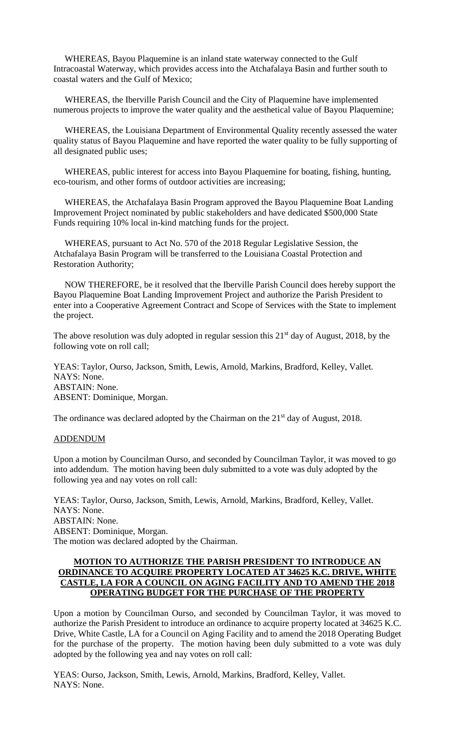WHEREAS, Bayou Plaquemine is an inland state waterway connected to the Gulf Intracoastal Waterway, which provides access into the Atchafalaya Basin and further south to coastal waters and the Gulf of Mexico;

 WHEREAS, the Iberville Parish Council and the City of Plaquemine have implemented numerous projects to improve the water quality and the aesthetical value of Bayou Plaquemine;

 WHEREAS, the Louisiana Department of Environmental Quality recently assessed the water quality status of Bayou Plaquemine and have reported the water quality to be fully supporting of all designated public uses;

 WHEREAS, public interest for access into Bayou Plaquemine for boating, fishing, hunting, eco-tourism, and other forms of outdoor activities are increasing;

 WHEREAS, the Atchafalaya Basin Program approved the Bayou Plaquemine Boat Landing Improvement Project nominated by public stakeholders and have dedicated \$500,000 State Funds requiring 10% local in-kind matching funds for the project.

 WHEREAS, pursuant to Act No. 570 of the 2018 Regular Legislative Session, the Atchafalaya Basin Program will be transferred to the Louisiana Coastal Protection and Restoration Authority;

 NOW THEREFORE, be it resolved that the Iberville Parish Council does hereby support the Bayou Plaquemine Boat Landing Improvement Project and authorize the Parish President to enter into a Cooperative Agreement Contract and Scope of Services with the State to implement the project.

The above resolution was duly adopted in regular session this  $21<sup>st</sup>$  day of August, 2018, by the following vote on roll call;

YEAS: Taylor, Ourso, Jackson, Smith, Lewis, Arnold, Markins, Bradford, Kelley, Vallet. NAYS: None. ABSTAIN: None. ABSENT: Dominique, Morgan.

The ordinance was declared adopted by the Chairman on the 21<sup>st</sup> day of August, 2018.

#### ADDENDUM

Upon a motion by Councilman Ourso, and seconded by Councilman Taylor, it was moved to go into addendum. The motion having been duly submitted to a vote was duly adopted by the following yea and nay votes on roll call:

YEAS: Taylor, Ourso, Jackson, Smith, Lewis, Arnold, Markins, Bradford, Kelley, Vallet. NAYS: None. ABSTAIN: None. ABSENT: Dominique, Morgan. The motion was declared adopted by the Chairman.

#### **MOTION TO AUTHORIZE THE PARISH PRESIDENT TO INTRODUCE AN ORDINANCE TO ACQUIRE PROPERTY LOCATED AT 34625 K.C. DRIVE, WHITE CASTLE, LA FOR A COUNCIL ON AGING FACILITY AND TO AMEND THE 2018 OPERATING BUDGET FOR THE PURCHASE OF THE PROPERTY**

Upon a motion by Councilman Ourso, and seconded by Councilman Taylor, it was moved to authorize the Parish President to introduce an ordinance to acquire property located at 34625 K.C. Drive, White Castle, LA for a Council on Aging Facility and to amend the 2018 Operating Budget for the purchase of the property. The motion having been duly submitted to a vote was duly adopted by the following yea and nay votes on roll call:

YEAS: Ourso, Jackson, Smith, Lewis, Arnold, Markins, Bradford, Kelley, Vallet. NAYS: None.